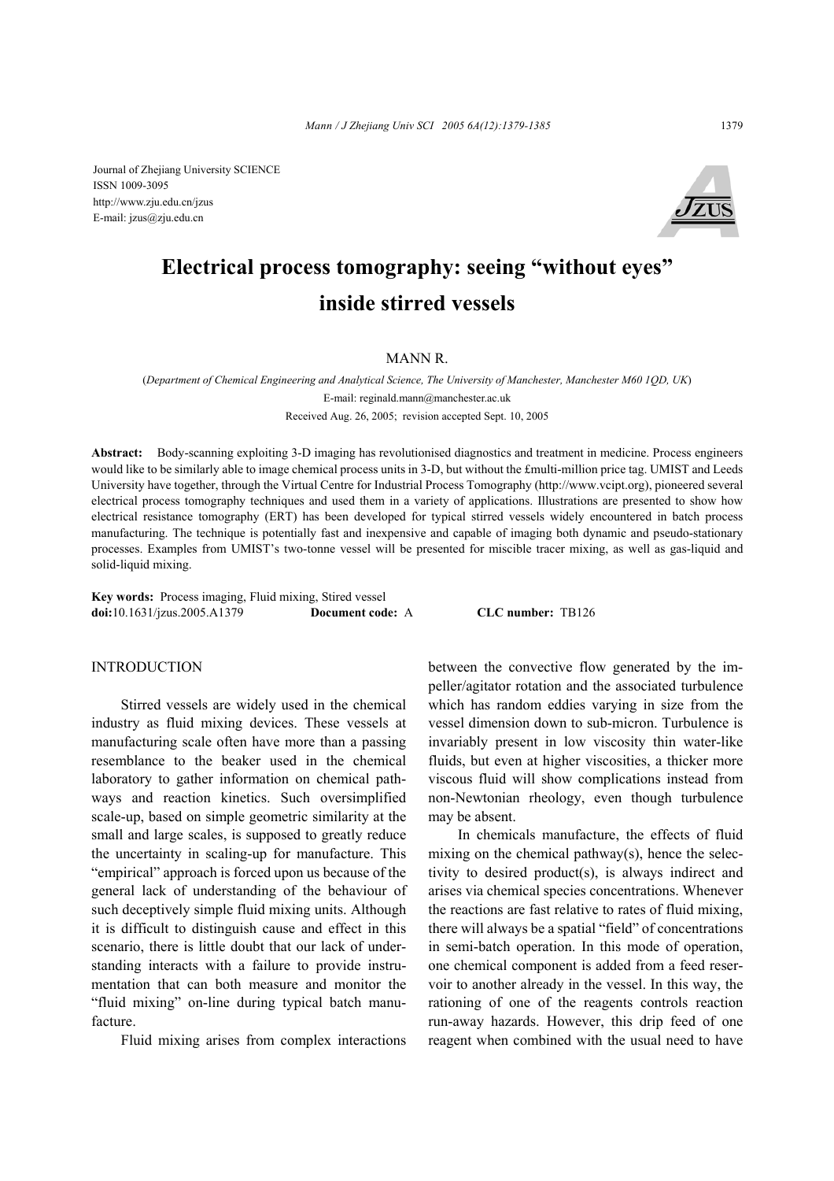Journal of Zhejiang University SCIENCE ISSN 1009-3095 http://www.zju.edu.cn/jzus E-mail: jzus@zju.edu.cn



# **Electrical process tomography: seeing "without eyes" inside stirred vessels**

MANN R.

(*Department of Chemical Engineering and Analytical Science, The University of Manchester, Manchester M60 1QD, UK*) E-mail: reginald.mann@manchester.ac.uk Received Aug. 26, 2005; revision accepted Sept. 10, 2005

**Abstract:** Body-scanning exploiting 3-D imaging has revolutionised diagnostics and treatment in medicine. Process engineers would like to be similarly able to image chemical process units in 3-D, but without the £multi-million price tag. UMIST and Leeds University have together, through the Virtual Centre for Industrial Process Tomography (http://www.vcipt.org), pioneered several electrical process tomography techniques and used them in a variety of applications. Illustrations are presented to show how electrical resistance tomography (ERT) has been developed for typical stirred vessels widely encountered in batch process manufacturing. The technique is potentially fast and inexpensive and capable of imaging both dynamic and pseudo-stationary processes. Examples from UMIST's two-tonne vessel will be presented for miscible tracer mixing, as well as gas-liquid and solid-liquid mixing.

**Key words:** Process imaging, Fluid mixing, Stired vessel **doi:**10.1631/jzus.2005.A1379 **Document code:** A **CLC number:** TB126

## **INTRODUCTION**

Stirred vessels are widely used in the chemical industry as fluid mixing devices. These vessels at manufacturing scale often have more than a passing resemblance to the beaker used in the chemical laboratory to gather information on chemical pathways and reaction kinetics. Such oversimplified scale-up, based on simple geometric similarity at the small and large scales, is supposed to greatly reduce the uncertainty in scaling-up for manufacture. This "empirical" approach is forced upon us because of the general lack of understanding of the behaviour of such deceptively simple fluid mixing units. Although it is difficult to distinguish cause and effect in this scenario, there is little doubt that our lack of understanding interacts with a failure to provide instrumentation that can both measure and monitor the "fluid mixing" on-line during typical batch manufacture.

Fluid mixing arises from complex interactions

between the convective flow generated by the impeller/agitator rotation and the associated turbulence which has random eddies varying in size from the vessel dimension down to sub-micron. Turbulence is invariably present in low viscosity thin water-like fluids, but even at higher viscosities, a thicker more viscous fluid will show complications instead from non-Newtonian rheology, even though turbulence may be absent.

In chemicals manufacture, the effects of fluid mixing on the chemical pathway(s), hence the selectivity to desired product(s), is always indirect and arises via chemical species concentrations. Whenever the reactions are fast relative to rates of fluid mixing, there will always be a spatial "field" of concentrations in semi-batch operation. In this mode of operation, one chemical component is added from a feed reservoir to another already in the vessel. In this way, the rationing of one of the reagents controls reaction run-away hazards. However, this drip feed of one reagent when combined with the usual need to have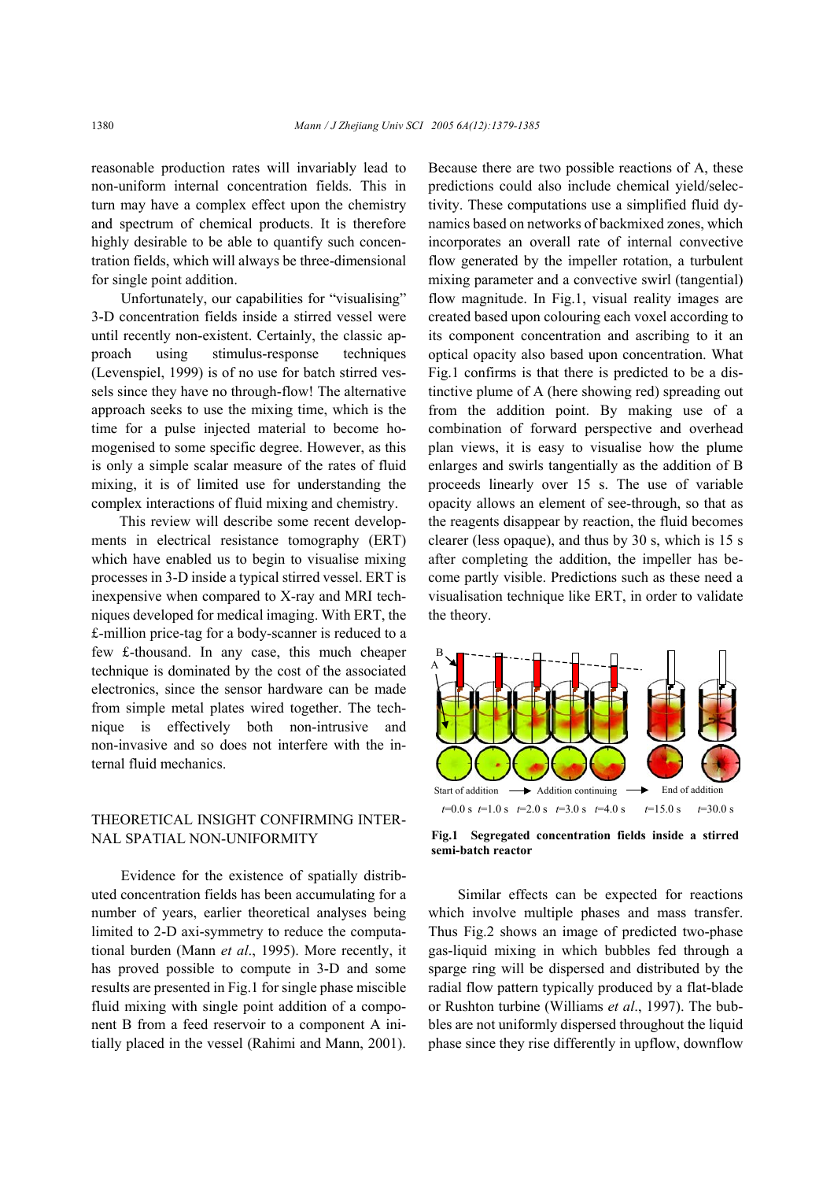reasonable production rates will invariably lead to non-uniform internal concentration fields. This in turn may have a complex effect upon the chemistry and spectrum of chemical products. It is therefore highly desirable to be able to quantify such concentration fields, which will always be three-dimensional for single point addition.

Unfortunately, our capabilities for "visualising" 3-D concentration fields inside a stirred vessel were until recently non-existent. Certainly, the classic approach using stimulus-response techniques (Levenspiel, 1999) is of no use for batch stirred vessels since they have no through-flow! The alternative approach seeks to use the mixing time, which is the time for a pulse injected material to become homogenised to some specific degree. However, as this is only a simple scalar measure of the rates of fluid mixing, it is of limited use for understanding the complex interactions of fluid mixing and chemistry.

This review will describe some recent developments in electrical resistance tomography (ERT) which have enabled us to begin to visualise mixing processes in 3-D inside a typical stirred vessel. ERT is inexpensive when compared to X-ray and MRI techniques developed for medical imaging. With ERT, the £-million price-tag for a body-scanner is reduced to a few £-thousand. In any case, this much cheaper technique is dominated by the cost of the associated electronics, since the sensor hardware can be made from simple metal plates wired together. The technique is effectively both non-intrusive and non-invasive and so does not interfere with the internal fluid mechanics.

## THEORETICAL INSIGHT CONFIRMING INTER-NAL SPATIAL NON-UNIFORMITY

Evidence for the existence of spatially distributed concentration fields has been accumulating for a number of years, earlier theoretical analyses being limited to 2-D axi-symmetry to reduce the computational burden (Mann *et al*., 1995). More recently, it has proved possible to compute in 3-D and some results are presented in Fig.1 for single phase miscible fluid mixing with single point addition of a component B from a feed reservoir to a component A initially placed in the vessel (Rahimi and Mann, 2001).

Because there are two possible reactions of A, these predictions could also include chemical yield/selectivity. These computations use a simplified fluid dynamics based on networks of backmixed zones, which incorporates an overall rate of internal convective flow generated by the impeller rotation, a turbulent mixing parameter and a convective swirl (tangential) flow magnitude. In Fig.1, visual reality images are created based upon colouring each voxel according to its component concentration and ascribing to it an optical opacity also based upon concentration. What Fig.1 confirms is that there is predicted to be a distinctive plume of A (here showing red) spreading out from the addition point. By making use of a combination of forward perspective and overhead plan views, it is easy to visualise how the plume enlarges and swirls tangentially as the addition of B proceeds linearly over 15 s. The use of variable opacity allows an element of see-through, so that as the reagents disappear by reaction, the fluid becomes clearer (less opaque), and thus by 30 s, which is 15 s after completing the addition, the impeller has become partly visible. Predictions such as these need a visualisation technique like ERT, in order to validate the theory.



**Fig.1 Segregated concentration fields inside a stirred semi-batch reactor**

Similar effects can be expected for reactions which involve multiple phases and mass transfer. Thus Fig.2 shows an image of predicted two-phase gas-liquid mixing in which bubbles fed through a sparge ring will be dispersed and distributed by the radial flow pattern typically produced by a flat-blade or Rushton turbine (Williams *et al*., 1997). The bubbles are not uniformly dispersed throughout the liquid phase since they rise differently in upflow, downflow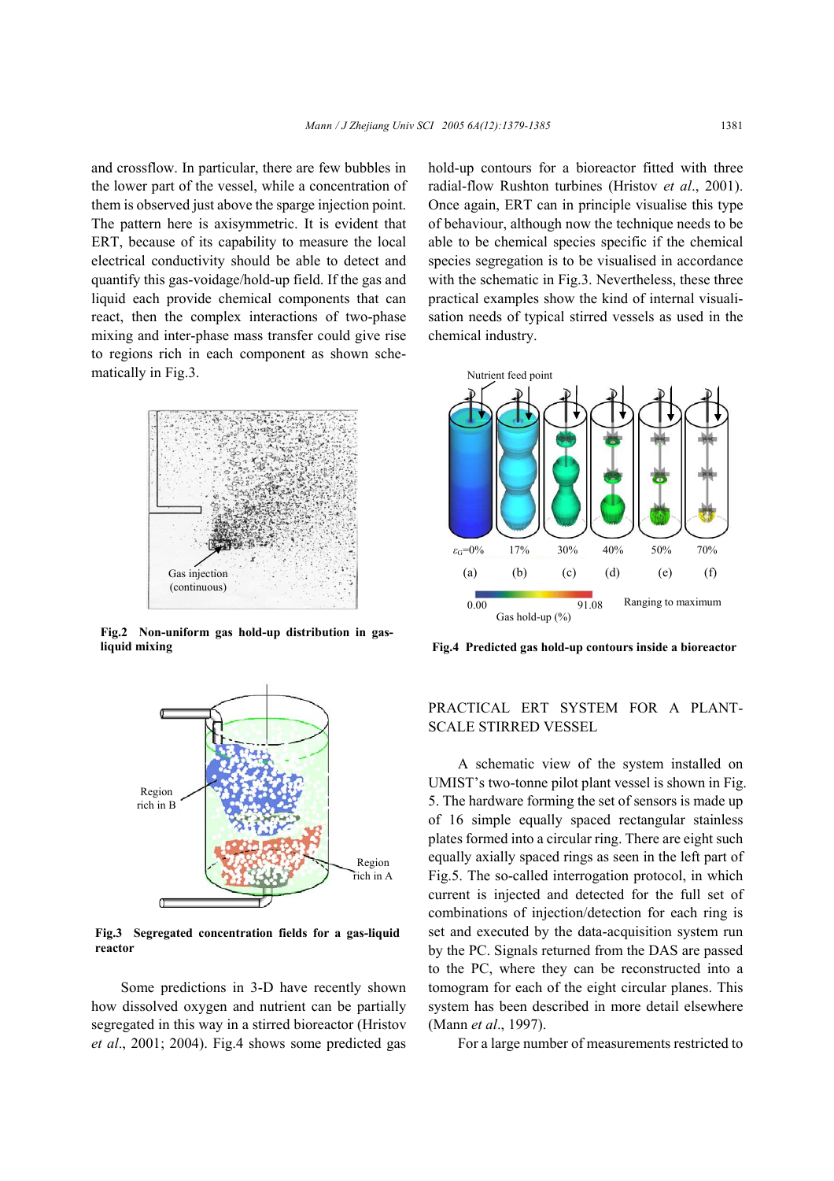and crossflow. In particular, there are few bubbles in the lower part of the vessel, while a concentration of them is observed just above the sparge injection point. The pattern here is axisymmetric. It is evident that ERT, because of its capability to measure the local electrical conductivity should be able to detect and quantify this gas-voidage/hold-up field. If the gas and liquid each provide chemical components that can react, then the complex interactions of two-phase mixing and inter-phase mass transfer could give rise to regions rich in each component as shown schematically in Fig.3.



**Fig.2 Non-uniform gas hold-up distribution in gasliquid mixing**



**Fig.3 Segregated concentration fields for a gas-liquid reactor** 

Some predictions in 3-D have recently shown how dissolved oxygen and nutrient can be partially segregated in this way in a stirred bioreactor (Hristov *et al*., 2001; 2004). Fig.4 shows some predicted gas hold-up contours for a bioreactor fitted with three radial-flow Rushton turbines (Hristov *et al*., 2001). Once again, ERT can in principle visualise this type of behaviour, although now the technique needs to be able to be chemical species specific if the chemical species segregation is to be visualised in accordance with the schematic in Fig.3. Nevertheless, these three practical examples show the kind of internal visualisation needs of typical stirred vessels as used in the chemical industry.



**Fig.4 Predicted gas hold-up contours inside a bioreactor**

## PRACTICAL ERT SYSTEM FOR A PLANT-SCALE STIRRED VESSEL

A schematic view of the system installed on UMIST's two-tonne pilot plant vessel is shown in Fig. 5. The hardware forming the set of sensors is made up of 16 simple equally spaced rectangular stainless plates formed into a circular ring. There are eight such equally axially spaced rings as seen in the left part of Fig.5. The so-called interrogation protocol, in which current is injected and detected for the full set of combinations of injection/detection for each ring is set and executed by the data-acquisition system run by the PC. Signals returned from the DAS are passed to the PC, where they can be reconstructed into a tomogram for each of the eight circular planes. This system has been described in more detail elsewhere (Mann *et al*., 1997).

For a large number of measurements restricted to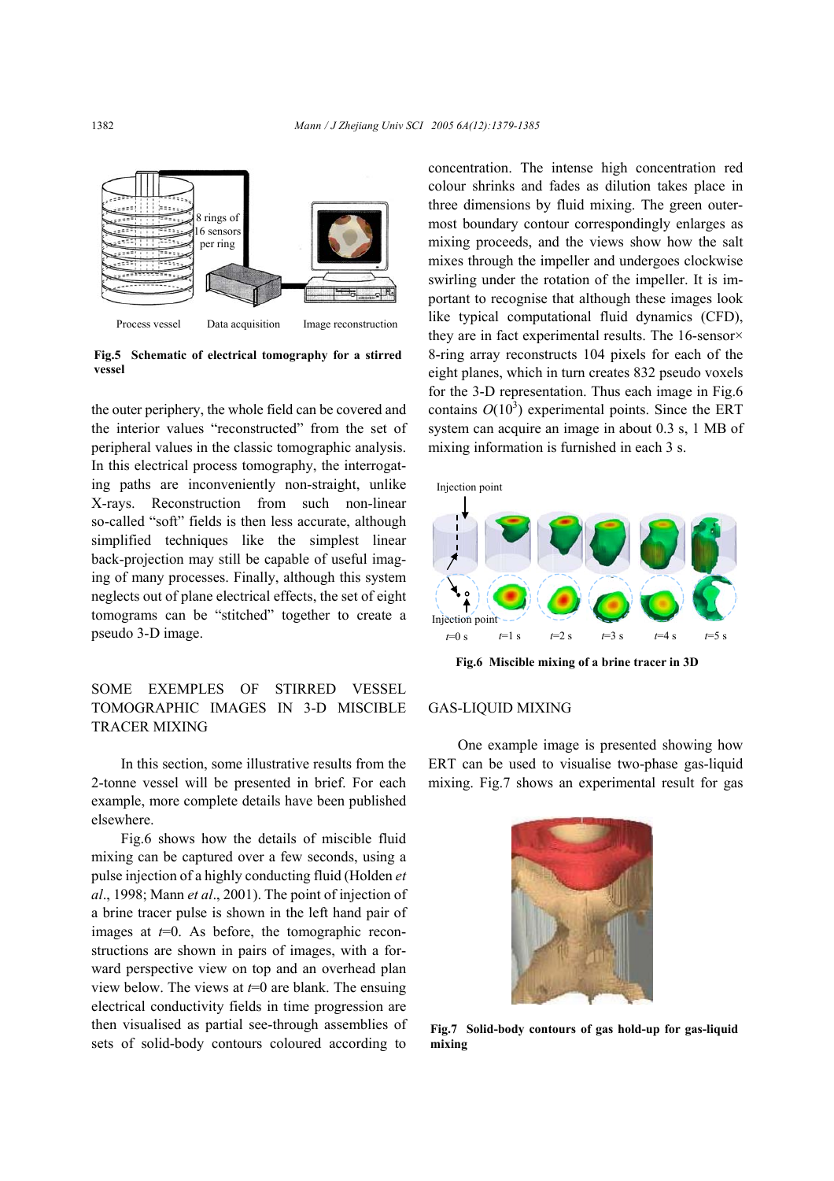

**Fig.5 Schematic of electrical tomography for a stirred vessel**

the outer periphery, the whole field can be covered and the interior values "reconstructed" from the set of peripheral values in the classic tomographic analysis. In this electrical process tomography, the interrogating paths are inconveniently non-straight, unlike X-rays. Reconstruction from such non-linear so-called "soft" fields is then less accurate, although simplified techniques like the simplest linear back-projection may still be capable of useful imaging of many processes. Finally, although this system neglects out of plane electrical effects, the set of eight tomograms can be "stitched" together to create a pseudo 3-D image.

## SOME EXEMPLES OF STIRRED VESSEL TOMOGRAPHIC IMAGES IN 3-D MISCIBLE TRACER MIXING

In this section, some illustrative results from the 2-tonne vessel will be presented in brief. For each example, more complete details have been published elsewhere.

Fig.6 shows how the details of miscible fluid mixing can be captured over a few seconds, using a pulse injection of a highly conducting fluid (Holden *et al*., 1998; Mann *et al*., 2001). The point of injection of a brine tracer pulse is shown in the left hand pair of images at  $t=0$ . As before, the tomographic reconstructions are shown in pairs of images, with a forward perspective view on top and an overhead plan view below. The views at *t*=0 are blank. The ensuing electrical conductivity fields in time progression are then visualised as partial see-through assemblies of sets of solid-body contours coloured according to concentration. The intense high concentration red colour shrinks and fades as dilution takes place in three dimensions by fluid mixing. The green outermost boundary contour correspondingly enlarges as mixing proceeds, and the views show how the salt mixes through the impeller and undergoes clockwise swirling under the rotation of the impeller. It is important to recognise that although these images look like typical computational fluid dynamics (CFD), they are in fact experimental results. The 16-sensor× 8-ring array reconstructs 104 pixels for each of the eight planes, which in turn creates 832 pseudo voxels for the 3-D representation. Thus each image in Fig.6 contains  $O(10^3)$  experimental points. Since the ERT system can acquire an image in about 0.3 s, 1 MB of mixing information is furnished in each 3 s.



**Fig.6 Miscible mixing of a brine tracer in 3D** 

#### GAS-LIQUID MIXING

One example image is presented showing how ERT can be used to visualise two-phase gas-liquid mixing. Fig.7 shows an experimental result for gas



**Fig.7 Solid-body contours of gas hold-up for gas-liquid mixing**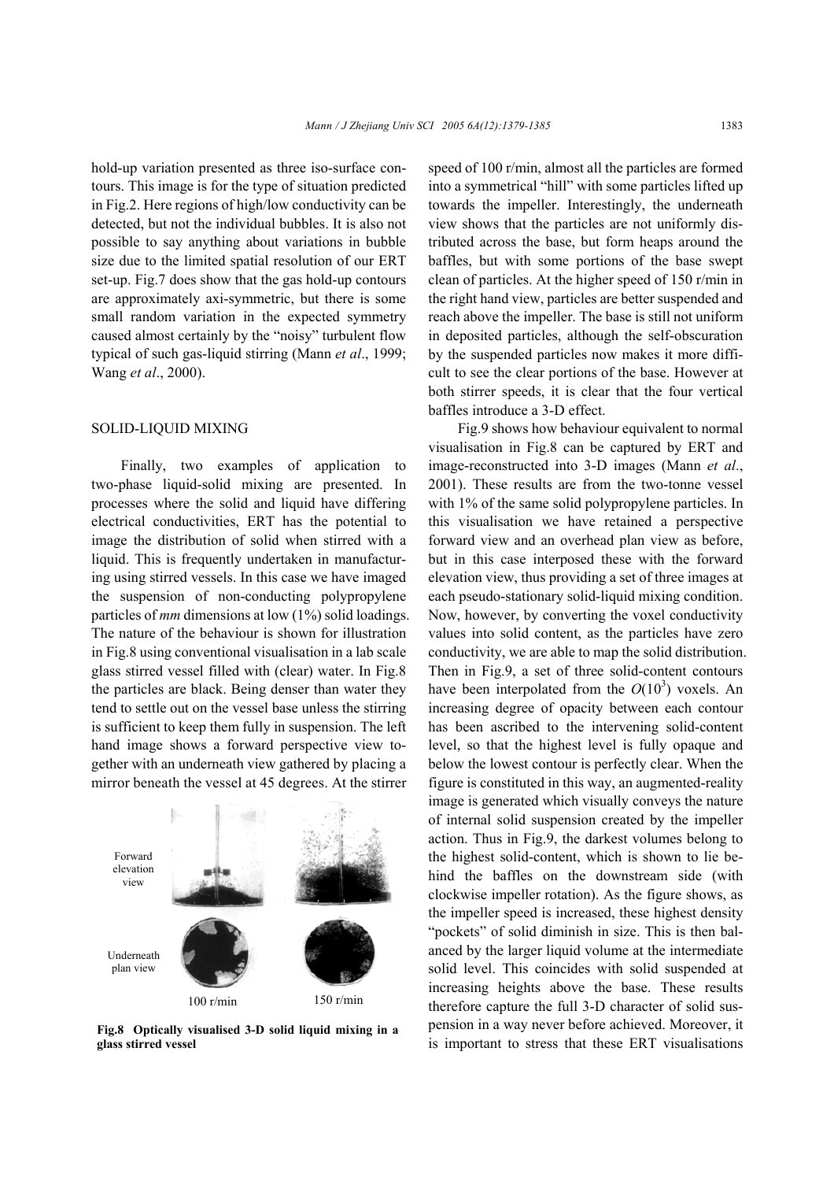hold-up variation presented as three iso-surface contours. This image is for the type of situation predicted in Fig.2. Here regions of high/low conductivity can be detected, but not the individual bubbles. It is also not possible to say anything about variations in bubble size due to the limited spatial resolution of our ERT set-up. Fig.7 does show that the gas hold-up contours are approximately axi-symmetric, but there is some small random variation in the expected symmetry caused almost certainly by the "noisy" turbulent flow typical of such gas-liquid stirring (Mann *et al*., 1999; Wang *et al*., 2000).

#### SOLID-LIQUID MIXING

Finally, two examples of application to two-phase liquid-solid mixing are presented. In processes where the solid and liquid have differing electrical conductivities, ERT has the potential to image the distribution of solid when stirred with a liquid. This is frequently undertaken in manufacturing using stirred vessels. In this case we have imaged the suspension of non-conducting polypropylene particles of *mm* dimensions at low (1%) solid loadings. The nature of the behaviour is shown for illustration in Fig.8 using conventional visualisation in a lab scale glass stirred vessel filled with (clear) water. In Fig.8 the particles are black. Being denser than water they tend to settle out on the vessel base unless the stirring is sufficient to keep them fully in suspension. The left hand image shows a forward perspective view together with an underneath view gathered by placing a mirror beneath the vessel at 45 degrees. At the stirrer



**Fig.8 Optically visualised 3-D solid liquid mixing in a glass stirred vessel**

speed of 100 r/min, almost all the particles are formed into a symmetrical "hill" with some particles lifted up towards the impeller. Interestingly, the underneath view shows that the particles are not uniformly distributed across the base, but form heaps around the baffles, but with some portions of the base swept clean of particles. At the higher speed of 150 r/min in the right hand view, particles are better suspended and reach above the impeller. The base is still not uniform in deposited particles, although the self-obscuration by the suspended particles now makes it more difficult to see the clear portions of the base. However at both stirrer speeds, it is clear that the four vertical baffles introduce a 3-D effect.

Fig.9 shows how behaviour equivalent to normal visualisation in Fig.8 can be captured by ERT and image-reconstructed into 3-D images (Mann *et al*., 2001). These results are from the two-tonne vessel with 1% of the same solid polypropylene particles. In this visualisation we have retained a perspective forward view and an overhead plan view as before, but in this case interposed these with the forward elevation view, thus providing a set of three images at each pseudo-stationary solid-liquid mixing condition. Now, however, by converting the voxel conductivity values into solid content, as the particles have zero conductivity, we are able to map the solid distribution. Then in Fig.9, a set of three solid-content contours have been interpolated from the  $O(10^3)$  voxels. An increasing degree of opacity between each contour has been ascribed to the intervening solid-content level, so that the highest level is fully opaque and below the lowest contour is perfectly clear. When the figure is constituted in this way, an augmented-reality image is generated which visually conveys the nature of internal solid suspension created by the impeller action. Thus in Fig.9, the darkest volumes belong to the highest solid-content, which is shown to lie behind the baffles on the downstream side (with clockwise impeller rotation). As the figure shows, as the impeller speed is increased, these highest density "pockets" of solid diminish in size. This is then balanced by the larger liquid volume at the intermediate solid level. This coincides with solid suspended at increasing heights above the base. These results therefore capture the full 3-D character of solid suspension in a way never before achieved. Moreover, it is important to stress that these ERT visualisations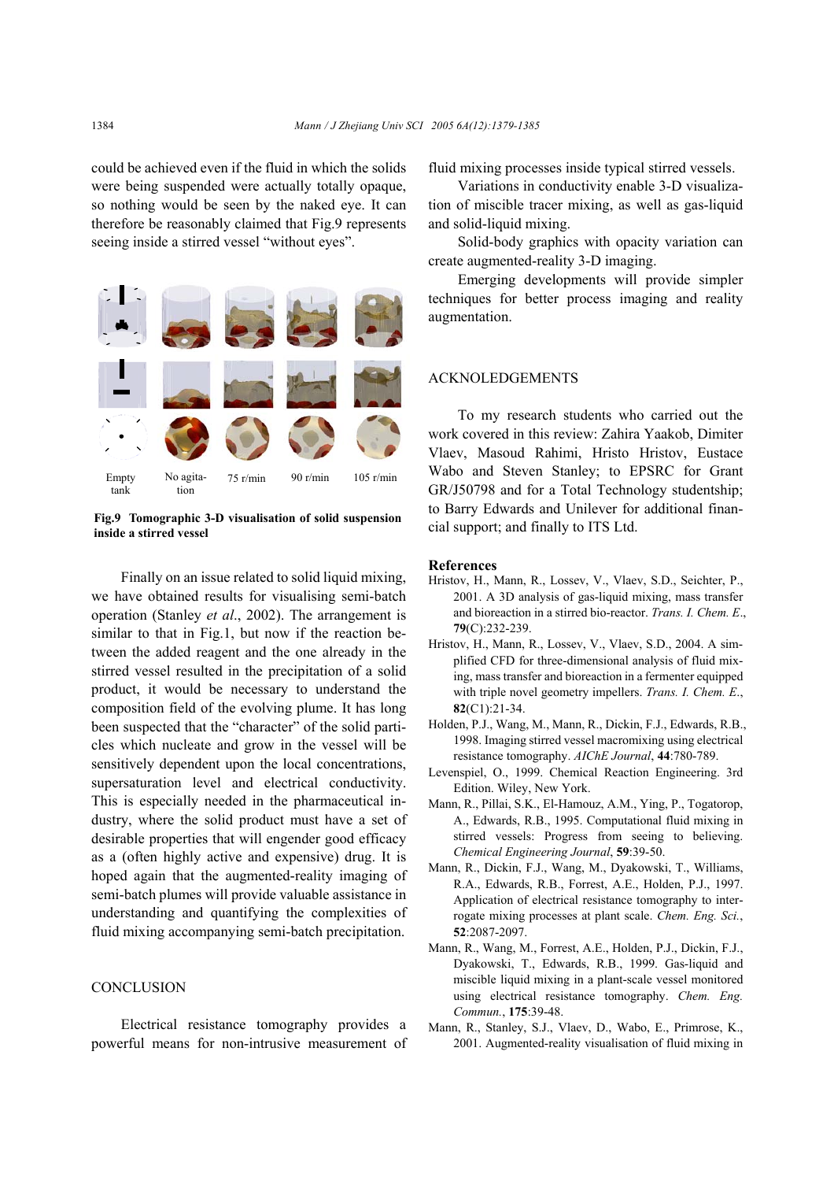could be achieved even if the fluid in which the solids were being suspended were actually totally opaque, so nothing would be seen by the naked eye. It can therefore be reasonably claimed that Fig.9 represents seeing inside a stirred vessel "without eyes".



**Fig.9 Tomographic 3-D visualisation of solid suspension inside a stirred vessel**

Finally on an issue related to solid liquid mixing, we have obtained results for visualising semi-batch operation (Stanley *et al*., 2002). The arrangement is similar to that in Fig.1, but now if the reaction between the added reagent and the one already in the stirred vessel resulted in the precipitation of a solid product, it would be necessary to understand the composition field of the evolving plume. It has long been suspected that the "character" of the solid particles which nucleate and grow in the vessel will be sensitively dependent upon the local concentrations, supersaturation level and electrical conductivity. This is especially needed in the pharmaceutical industry, where the solid product must have a set of desirable properties that will engender good efficacy as a (often highly active and expensive) drug. It is hoped again that the augmented-reality imaging of semi-batch plumes will provide valuable assistance in understanding and quantifying the complexities of fluid mixing accompanying semi-batch precipitation.

### **CONCLUSION**

Electrical resistance tomography provides a powerful means for non-intrusive measurement of fluid mixing processes inside typical stirred vessels.

Variations in conductivity enable 3-D visualization of miscible tracer mixing, as well as gas-liquid and solid-liquid mixing.

Solid-body graphics with opacity variation can create augmented-reality 3-D imaging.

Emerging developments will provide simpler techniques for better process imaging and reality augmentation.

## ACKNOLEDGEMENTS

To my research students who carried out the work covered in this review: Zahira Yaakob, Dimiter Vlaev, Masoud Rahimi, Hristo Hristov, Eustace Wabo and Steven Stanley; to EPSRC for Grant GR/J50798 and for a Total Technology studentship; to Barry Edwards and Unilever for additional financial support; and finally to ITS Ltd.

#### **References**

- Hristov, H., Mann, R., Lossev, V., Vlaev, S.D., Seichter, P., 2001. A 3D analysis of gas-liquid mixing, mass transfer and bioreaction in a stirred bio-reactor. *Trans. I. Chem. E*., **79**(C):232-239.
- Hristov, H., Mann, R., Lossev, V., Vlaev, S.D., 2004. A simplified CFD for three-dimensional analysis of fluid mixing, mass transfer and bioreaction in a fermenter equipped with triple novel geometry impellers. *Trans. I. Chem. E*., **82**(C1):21-34.
- Holden, P.J., Wang, M., Mann, R., Dickin, F.J., Edwards, R.B., 1998. Imaging stirred vessel macromixing using electrical resistance tomography. *AIChE Journal*, **44**:780-789.
- Levenspiel, O., 1999. Chemical Reaction Engineering. 3rd Edition. Wiley, New York.
- Mann, R., Pillai, S.K., El-Hamouz, A.M., Ying, P., Togatorop, A., Edwards, R.B., 1995. Computational fluid mixing in stirred vessels: Progress from seeing to believing. *Chemical Engineering Journal*, **59**:39-50.
- Mann, R., Dickin, F.J., Wang, M., Dyakowski, T., Williams, R.A., Edwards, R.B., Forrest, A.E., Holden, P.J., 1997. Application of electrical resistance tomography to interrogate mixing processes at plant scale. *Chem. Eng. Sci.*, **52**:2087-2097.
- Mann, R., Wang, M., Forrest, A.E., Holden, P.J., Dickin, F.J., Dyakowski, T., Edwards, R.B., 1999. Gas-liquid and miscible liquid mixing in a plant-scale vessel monitored using electrical resistance tomography. *Chem. Eng. Commun.*, **175**:39-48.
- Mann, R., Stanley, S.J., Vlaev, D., Wabo, E., Primrose, K., 2001. Augmented-reality visualisation of fluid mixing in